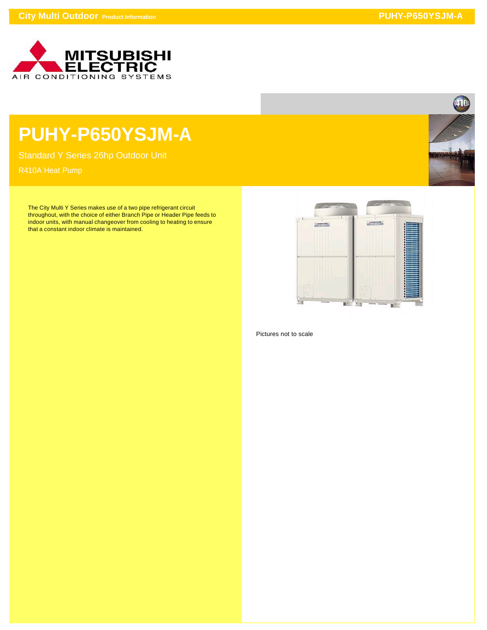

## **PUHY-P650YSJM-A**

Standard Y Series 26hp Outdoor Unit

The City Multi Y Series makes use of a two pipe refrigerant circuit throughout, with the choice of either Branch Pipe or Header Pipe feeds to indoor units, with manual changeover from cooling to heating to ensure that a constant indoor climate is maintained.



Pictures not to scale